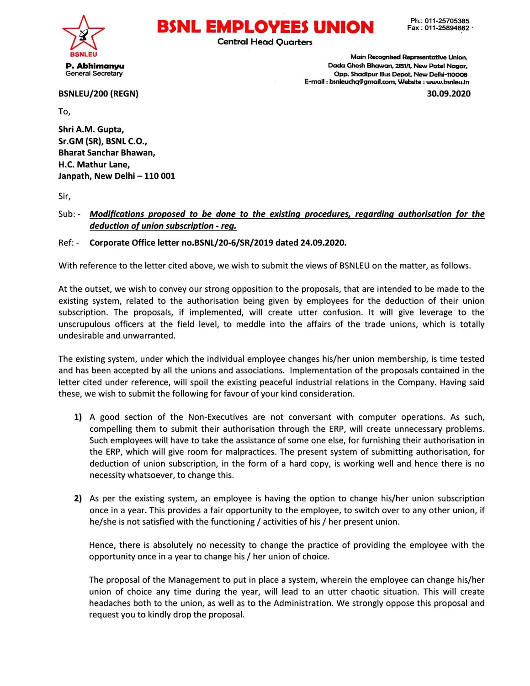

## BSNL EMPLOVEES UNION

**Central Head Quarters** 

Main Recognised Representative Union. Dada Ghosh Bhawan, 2151/1, New Patel Nagar, Opp. Shadipur Bus Depot, New Delhi-110008 E-mail : bsnleuchq@gmail.com, Website : www.bsnleu.in

BSNLEU/200 (REGN) 30.09.2020

To,

Shri A.M. Gupta, Sr.GM (SR), BSNL C.O., Bharat Sanchar Bhawan, H.C. Mathur Lane, Janpath, New Delhi – 110 001

Sir,

Sub: - Modifications proposed to be done to the existing procedures, regarding authorisation for the deduction of union subscription - reg.

Ref: - Corporate Office letter no.BSNL/20-6/SR/2019 dated 24.09.2020.

With reference to the letter cited above, we wish to submit the views of BSNLEU on the matter, as follows.

At the outset, we wish to convey our strong opposition to the proposals, that are intended to be made to the existing system, related to the authorisation being given by employees for the deduction of their union subscription. The proposals, if implemented, will create utter confusion. It will give leverage to the unscrupulous officers at the field level, to meddle into the affairs of the trade unions, which is totally undesirable and unwarranted.

The existing system, under which the individual employee changes his/her union membership, is time tested and has been accepted by all the unions and associations. Implementation of the proposals contained in the letter cited under reference, will spoil the existing peaceful industrial relations in the Company. Having said these, we wish to submit the following for favour of your kind consideration.

- 1) A good section of the Non-Executives are not conversant with computer operations. As such, compelling them to submit their authorisation through the ERP, will create unnecessary problems. Such employees will have to take the assistance of some one else, for furnishing their authorisation in the ERP, which will give room for malpractices. The present system of submitting authorisation, for deduction of union subscription, in the form of a hard copy, is working well and hence there is no necessity whatsoever, to change this.
- 2) As per the existing system, an employee is having the option to change his/her union subscription once in a year. This provides a fair opportunity to the employee, to switch over to any other union, if he/she is not satisfied with the functioning / activities of his / her present union.

Hence, there is absolutely no necessity to change the practice of providing the employee with the opportunity once in a year to change his / her union of choice.

The proposal of the Management to put in place a system, wherein the employee can change his/her union of choice any time during the year, will lead to an utter chaotic situation. This will create headaches both to the union, as well as to the Administration. We strongly oppose this proposal and request you to kindly drop the proposal.